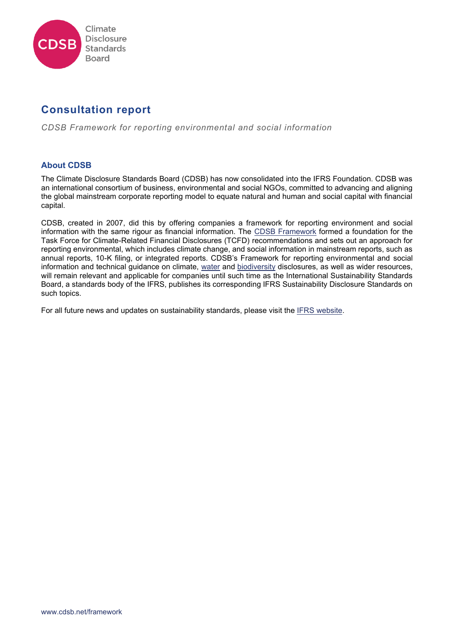

# **Consultation report**

*CDSB Framework for reporting environmental and social information*

# **About CDSB**

The Climate Disclosure Standards Board (CDSB) has now consolidated into the IFRS Foundation. CDSB was an international consortium of business, environmental and social NGOs, committed to advancing and aligning the global mainstream corporate reporting model to equate natural and human and social capital with financial capital.

CDSB, created in 2007, did this by offering companies a framework for reporting environment and social information with the same rigour as financial information. The [CDSB Framework](https://www.cdsb.net/framework) formed a foundation for the Task Force for Climate-Related Financial Disclosures (TCFD) recommendations and sets out an approach for reporting environmental, which includes climate change, and social information in mainstream reports, such as annual reports, 10-K filing, or integrated reports. CDSB's Framework for reporting environmental and social information and technical guidance on climate, [water](https://www.cdsb.net/water) and [biodiversity](https://www.cdsb.net/biodiversity) disclosures, as well as wider resources, will remain relevant and applicable for companies until such time as the International Sustainability Standards Board, a standards body of the IFRS, publishes its corresponding IFRS Sustainability Disclosure Standards on such topics.

For all future news and updates on sustainability standards, please visit the [IFRS website.](https://www.ifrs.org/groups/international-sustainability-standards-board/)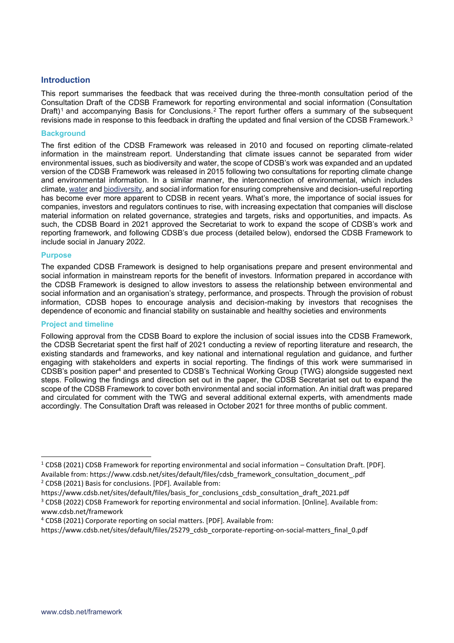# **Introduction**

This report summarises the feedback that was received during the three-month consultation period of the Consultation Draft of the CDSB Framework for reporting environmental and social information (Consultation Draft)<sup>1</sup> and accompanying Basis for Conclusions.<sup>2</sup> The report further offers a summary of the subsequent revisions made in response to this feedback in drafting the updated and final version of the CDSB Framework.<sup>3</sup>

#### **Background**

The first edition of the CDSB Framework was released in 2010 and focused on reporting climate-related information in the mainstream report. Understanding that climate issues cannot be separated from wider environmental issues, such as biodiversity and water, the scope of CDSB's work was expanded and an updated version of the CDSB Framework was released in 2015 following two consultations for reporting climate change and environmental information. In a similar manner, the interconnection of environmental, which includes climate[, water](https://www.cdsb.net/water) and [biodiversity,](https://www.cdsb.net/biodiversity) and social information for ensuring comprehensive and decision-useful reporting has become ever more apparent to CDSB in recent years. What's more, the importance of social issues for companies, investors and regulators continues to rise, with increasing expectation that companies will disclose material information on related governance, strategies and targets, risks and opportunities, and impacts. As such, the CDSB Board in 2021 approved the Secretariat to work to expand the scope of CDSB's work and reporting framework, and following CDSB's due process (detailed below), endorsed the CDSB Framework to include social in January 2022.

#### **Purpose**

The expanded CDSB Framework is designed to help organisations prepare and present environmental and social information in mainstream reports for the benefit of investors. Information prepared in accordance with the CDSB Framework is designed to allow investors to assess the relationship between environmental and social information and an organisation's strategy, performance, and prospects. Through the provision of robust information, CDSB hopes to encourage analysis and decision-making by investors that recognises the dependence of economic and financial stability on sustainable and healthy societies and environments

#### **Project and timeline**

Following approval from the CDSB Board to explore the inclusion of social issues into the CDSB Framework, the CDSB Secretariat spent the first half of 2021 conducting a review of reporting literature and research, the existing standards and frameworks, and key national and international regulation and guidance, and further engaging with stakeholders and experts in social reporting. The findings of this work were summarised in CDSB's position paper<sup>4</sup> and presented to CDSB's Technical Working Group (TWG) alongside suggested next steps. Following the findings and direction set out in the paper, the CDSB Secretariat set out to expand the scope of the CDSB Framework to cover both environmental and social information. An initial draft was prepared and circulated for comment with the TWG and several additional external experts, with amendments made accordingly. The Consultation Draft was released in October 2021 for three months of public comment.

https://www.cdsb.net/sites/default/files/basis\_for\_conclusions\_cdsb\_consultation\_draft\_2021.pdf

 $1$  CDSB (2021) CDSB Framework for reporting environmental and social information – Consultation Draft. [PDF]. Available from: https://www.cdsb.net/sites/default/files/cdsb\_framework\_consultation\_document\_.pdf <sup>2</sup> CDSB (2021) Basis for conclusions. [PDF]. Available from:

<sup>&</sup>lt;sup>3</sup> CDSB (2022) CDSB Framework for reporting environmental and social information. [Online]. Available from: www.cdsb.net/framework

<sup>4</sup> CDSB (2021) Corporate reporting on social matters. [PDF]. Available from:

https://www.cdsb.net/sites/default/files/25279\_cdsb\_corporate-reporting-on-social-matters\_final\_0.pdf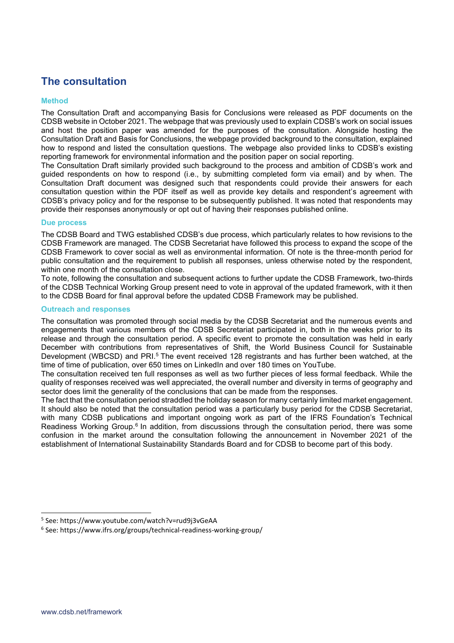# **The consultation**

## **Method**

The Consultation Draft and accompanying Basis for Conclusions were released as PDF documents on the CDSB website in October 2021. The webpage that was previously used to explain CDSB's work on social issues and host the position paper was amended for the purposes of the consultation. Alongside hosting the Consultation Draft and Basis for Conclusions, the webpage provided background to the consultation, explained how to respond and listed the consultation questions. The webpage also provided links to CDSB's existing reporting framework for environmental information and the position paper on social reporting.

The Consultation Draft similarly provided such background to the process and ambition of CDSB's work and guided respondents on how to respond (i.e., by submitting completed form via email) and by when. The Consultation Draft document was designed such that respondents could provide their answers for each consultation question within the PDF itself as well as provide key details and respondent's agreement with CDSB's privacy policy and for the response to be subsequently published. It was noted that respondents may provide their responses anonymously or opt out of having their responses published online.

## **Due process**

The CDSB Board and TWG established CDSB's due process, which particularly relates to how revisions to the CDSB Framework are managed. The CDSB Secretariat have followed this process to expand the scope of the CDSB Framework to cover social as well as environmental information. Of note is the three-month period for public consultation and the requirement to publish all responses, unless otherwise noted by the respondent, within one month of the consultation close.

To note, following the consultation and subsequent actions to further update the CDSB Framework, two-thirds of the CDSB Technical Working Group present need to vote in approval of the updated framework, with it then to the CDSB Board for final approval before the updated CDSB Framework may be published.

## **Outreach and responses**

The consultation was promoted through social media by the CDSB Secretariat and the numerous events and engagements that various members of the CDSB Secretariat participated in, both in the weeks prior to its release and through the consultation period. A specific event to promote the consultation was held in early December with contributions from representatives of Shift, the World Business Council for Sustainable Development (WBCSD) and PRI.<sup>5</sup> The event received 128 registrants and has further been watched, at the time of time of publication, over 650 times on LinkedIn and over 180 times on YouTube.

The consultation received ten full responses as well as two further pieces of less formal feedback. While the quality of responses received was well appreciated, the overall number and diversity in terms of geography and sector does limit the generality of the conclusions that can be made from the responses.

The fact that the consultation period straddled the holiday season for many certainly limited market engagement. It should also be noted that the consultation period was a particularly busy period for the CDSB Secretariat, with many CDSB publications and important ongoing work as part of the IFRS Foundation's Technical Readiness Working Group.<sup>6</sup> In addition, from discussions through the consultation period, there was some confusion in the market around the consultation following the announcement in November 2021 of the establishment of International Sustainability Standards Board and for CDSB to become part of this body.

<sup>5</sup> See: https://www.youtube.com/watch?v=rud9j3vGeAA

<sup>6</sup> See: https://www.ifrs.org/groups/technical-readiness-working-group/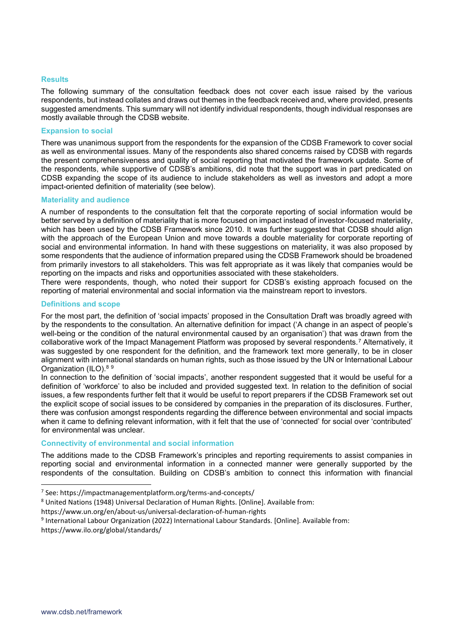#### **Results**

The following summary of the consultation feedback does not cover each issue raised by the various respondents, but instead collates and draws out themes in the feedback received and, where provided, presents suggested amendments. This summary will not identify individual respondents, though individual responses are mostly available through the CDSB website.

#### **Expansion to social**

There was unanimous support from the respondents for the expansion of the CDSB Framework to cover social as well as environmental issues. Many of the respondents also shared concerns raised by CDSB with regards the present comprehensiveness and quality of social reporting that motivated the framework update. Some of the respondents, while supportive of CDSB's ambitions, did note that the support was in part predicated on CDSB expanding the scope of its audience to include stakeholders as well as investors and adopt a more impact-oriented definition of materiality (see below).

#### **Materiality and audience**

A number of respondents to the consultation felt that the corporate reporting of social information would be better served by a definition of materiality that is more focused on impact instead of investor-focused materiality, which has been used by the CDSB Framework since 2010. It was further suggested that CDSB should align with the approach of the European Union and move towards a double materiality for corporate reporting of social and environmental information. In hand with these suggestions on materiality, it was also proposed by some respondents that the audience of information prepared using the CDSB Framework should be broadened from primarily investors to all stakeholders. This was felt appropriate as it was likely that companies would be reporting on the impacts and risks and opportunities associated with these stakeholders.

There were respondents, though, who noted their support for CDSB's existing approach focused on the reporting of material environmental and social information via the mainstream report to investors.

#### **Definitions and scope**

For the most part, the definition of 'social impacts' proposed in the Consultation Draft was broadly agreed with by the respondents to the consultation. An alternative definition for impact ('A change in an aspect of people's well-being or the condition of the natural environmental caused by an organisation') that was drawn from the collaborative work of the Impact Management Platform was proposed by several respondents.<sup>7</sup> Alternatively, it was suggested by one respondent for the definition, and the framework text more generally, to be in closer alignment with international standards on human rights, such as those issued by the UN or International Labour Organization (ILO). 8 9

In connection to the definition of 'social impacts', another respondent suggested that it would be useful for a definition of 'workforce' to also be included and provided suggested text. In relation to the definition of social issues, a few respondents further felt that it would be useful to report preparers if the CDSB Framework set out the explicit scope of social issues to be considered by companies in the preparation of its disclosures. Further, there was confusion amongst respondents regarding the difference between environmental and social impacts when it came to defining relevant information, with it felt that the use of 'connected' for social over 'contributed' for environmental was unclear.

#### **Connectivity of environmental and social information**

The additions made to the CDSB Framework's principles and reporting requirements to assist companies in reporting social and environmental information in a connected manner were generally supported by the respondents of the consultation. Building on CDSB's ambition to connect this information with financial

<sup>7</sup> See: https://impactmanagementplatform.org/terms-and-concepts/

<sup>8</sup> United Nations (1948) Universal Declaration of Human Rights. [Online]. Available from:

https://www.un.org/en/about-us/universal-declaration-of-human-rights

<sup>9</sup> International Labour Organization (2022) International Labour Standards. [Online]. Available from:

[https://www.ilo.org/global/standards/](https://www.ilo.org/global/standards/lang--en/index.htm)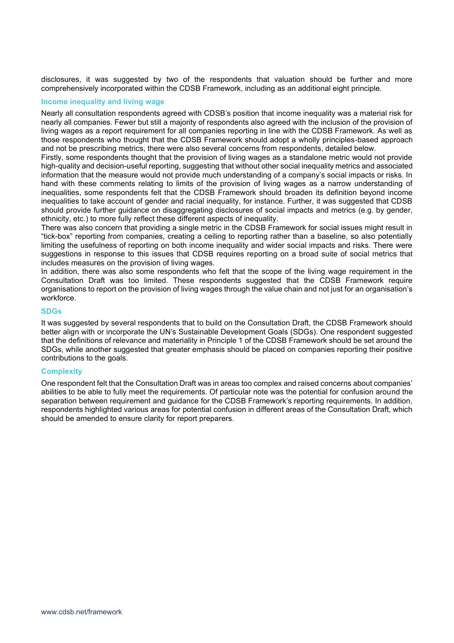disclosures, it was suggested by two of the respondents that valuation should be further and more comprehensively incorporated within the CDSB Framework, including as an additional eight principle.

#### **Income inequality and living wage**

Nearly all consultation respondents agreed with CDSB's position that income inequality was a material risk for nearly all companies. Fewer but still a majority of respondents also agreed with the inclusion of the provision of living wages as a report requirement for all companies reporting in line with the CDSB Framework. As well as those respondents who thought that the CDSB Framework should adopt a wholly principles-based approach and not be prescribing metrics, there were also several concerns from respondents, detailed below.

Firstly, some respondents thought that the provision of living wages as a standalone metric would not provide high-quality and decision-useful reporting, suggesting that without other social inequality metrics and associated information that the measure would not provide much understanding of a company's social impacts or risks. In hand with these comments relating to limits of the provision of living wages as a narrow understanding of inequalities, some respondents felt that the CDSB Framework should broaden its definition beyond income inequalities to take account of gender and racial inequality, for instance. Further, it was suggested that CDSB should provide further guidance on disaggregating disclosures of social impacts and metrics (e.g. by gender, ethnicity, etc.) to more fully reflect these different aspects of inequality.

There was also concern that providing a single metric in the CDSB Framework for social issues might result in "tick-box" reporting from companies, creating a ceiling to reporting rather than a baseline, so also potentially limiting the usefulness of reporting on both income inequality and wider social impacts and risks. There were suggestions in response to this issues that CDSB requires reporting on a broad suite of social metrics that includes measures on the provision of living wages.

In addition, there was also some respondents who felt that the scope of the living wage requirement in the Consultation Draft was too limited. These respondents suggested that the CDSB Framework require organisations to report on the provision of living wages through the value chain and not just for an organisation's workforce.

#### **SDGs**

It was suggested by several respondents that to build on the Consultation Draft, the CDSB Framework should better align with or incorporate the UN's Sustainable Development Goals (SDGs). One respondent suggested that the definitions of relevance and materiality in Principle 1 of the CDSB Framework should be set around the SDGs, while another suggested that greater emphasis should be placed on companies reporting their positive contributions to the goals.

#### **Complexity**

One respondent felt that the Consultation Draft was in areas too complex and raised concerns about companies' abilities to be able to fully meet the requirements. Of particular note was the potential for confusion around the separation between requirement and guidance for the CDSB Framework's reporting requirements. In addition, respondents highlighted various areas for potential confusion in different areas of the Consultation Draft, which should be amended to ensure clarity for report preparers.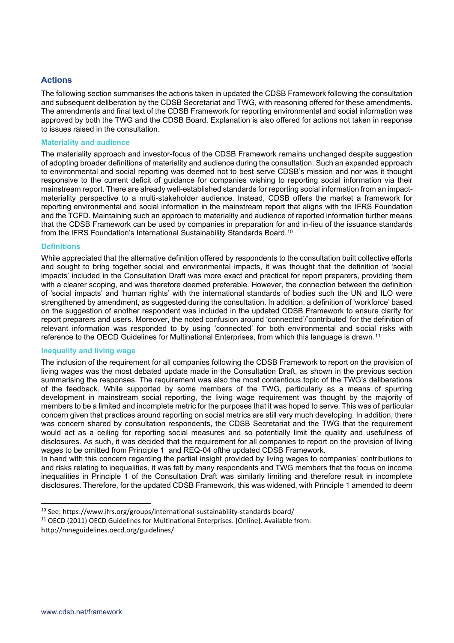# **Actions**

The following section summarises the actions taken in updated the CDSB Framework following the consultation and subsequent deliberation by the CDSB Secretariat and TWG, with reasoning offered for these amendments. The amendments and final text of the CDSB Framework for reporting environmental and social information was approved by both the TWG and the CDSB Board. Explanation is also offered for actions not taken in response to issues raised in the consultation.

#### **Materiality and audience**

The materiality approach and investor-focus of the CDSB Framework remains unchanged despite suggestion of adopting broader definitions of materiality and audience during the consultation. Such an expanded approach to environmental and social reporting was deemed not to best serve CDSB's mission and nor was it thought responsive to the current deficit of guidance for companies wishing to reporting social information via their mainstream report. There are already well-established standards for reporting social information from an impactmateriality perspective to a multi-stakeholder audience. Instead, CDSB offers the market a framework for reporting environmental and social information in the mainstream report that aligns with the IFRS Foundation and the TCFD. Maintaining such an approach to materiality and audience of reported information further means that the CDSB Framework can be used by companies in preparation for and in-lieu of the issuance standards from the IFRS Foundation's International Sustainability Standards Board.<sup>10</sup>

#### **Definitions**

While appreciated that the alternative definition offered by respondents to the consultation built collective efforts and sought to bring together social and environmental impacts, it was thought that the definition of 'social impacts' included in the Consultation Draft was more exact and practical for report preparers, providing them with a clearer scoping, and was therefore deemed preferable. However, the connection between the definition of 'social impacts' and 'human rights' with the international standards of bodies such the UN and ILO were strengthened by amendment, as suggested during the consultation. In addition, a definition of 'workforce' based on the suggestion of another respondent was included in the updated CDSB Framework to ensure clarity for report preparers and users. Moreover, the noted confusion around 'connected'/'contributed' for the definition of relevant information was responded to by using 'connected' for both environmental and social risks with reference to the OECD Guidelines for Multinational Enterprises, from which this language is drawn.<sup>11</sup>

#### **Inequality and living wage**

The inclusion of the requirement for all companies following the CDSB Framework to report on the provision of living wages was the most debated update made in the Consultation Draft, as shown in the previous section summarising the responses. The requirement was also the most contentious topic of the TWG's deliberations of the feedback. While supported by some members of the TWG, particularly as a means of spurring development in mainstream social reporting, the living wage requirement was thought by the majority of members to be a limited and incomplete metric for the purposes that it was hoped to serve. This was of particular concern given that practices around reporting on social metrics are still very much developing. In addition, there was concern shared by consultation respondents, the CDSB Secretariat and the TWG that the requirement would act as a ceiling for reporting social measures and so potentially limit the quality and usefulness of disclosures. As such, it was decided that the requirement for all companies to report on the provision of living wages to be omitted from Principle 1 and REQ-04 ofthe updated CDSB Framework.

In hand with this concern regarding the partial insight provided by living wages to companies' contributions to and risks relating to inequalities, it was felt by many respondents and TWG members that the focus on income inequalities in Principle 1 of the Consultation Draft was similarly limiting and therefore result in incomplete disclosures. Therefore, for the updated CDSB Framework, this was widened, with Principle 1 amended to deem

<sup>10</sup> See: https://www.ifrs.org/groups/international-sustainability-standards-board/

<sup>11</sup> OECD (2011) OECD Guidelines for Multinational Enterprises. [Online]. Available from:

http://mneguidelines.oecd.org/guidelines/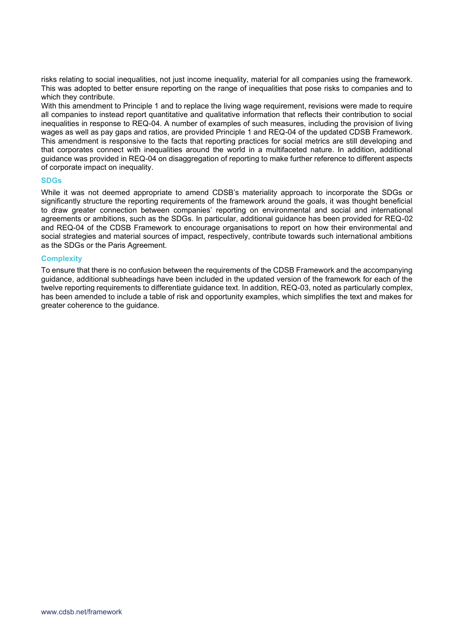risks relating to social inequalities, not just income inequality, material for all companies using the framework. This was adopted to better ensure reporting on the range of inequalities that pose risks to companies and to which they contribute.

With this amendment to Principle 1 and to replace the living wage requirement, revisions were made to require all companies to instead report quantitative and qualitative information that reflects their contribution to social inequalities in response to REQ-04. A number of examples of such measures, including the provision of living wages as well as pay gaps and ratios, are provided Principle 1 and REQ-04 of the updated CDSB Framework. This amendment is responsive to the facts that reporting practices for social metrics are still developing and that corporates connect with inequalities around the world in a multifaceted nature. In addition, additional guidance was provided in REQ-04 on disaggregation of reporting to make further reference to different aspects of corporate impact on inequality.

#### **SDGs**

While it was not deemed appropriate to amend CDSB's materiality approach to incorporate the SDGs or significantly structure the reporting requirements of the framework around the goals, it was thought beneficial to draw greater connection between companies' reporting on environmental and social and international agreements or ambitions, such as the SDGs. In particular, additional guidance has been provided for REQ-02 and REQ-04 of the CDSB Framework to encourage organisations to report on how their environmental and social strategies and material sources of impact, respectively, contribute towards such international ambitions as the SDGs or the Paris Agreement.

#### **Complexity**

To ensure that there is no confusion between the requirements of the CDSB Framework and the accompanying guidance, additional subheadings have been included in the updated version of the framework for each of the twelve reporting requirements to differentiate guidance text. In addition, REQ-03, noted as particularly complex, has been amended to include a table of risk and opportunity examples, which simplifies the text and makes for greater coherence to the guidance.